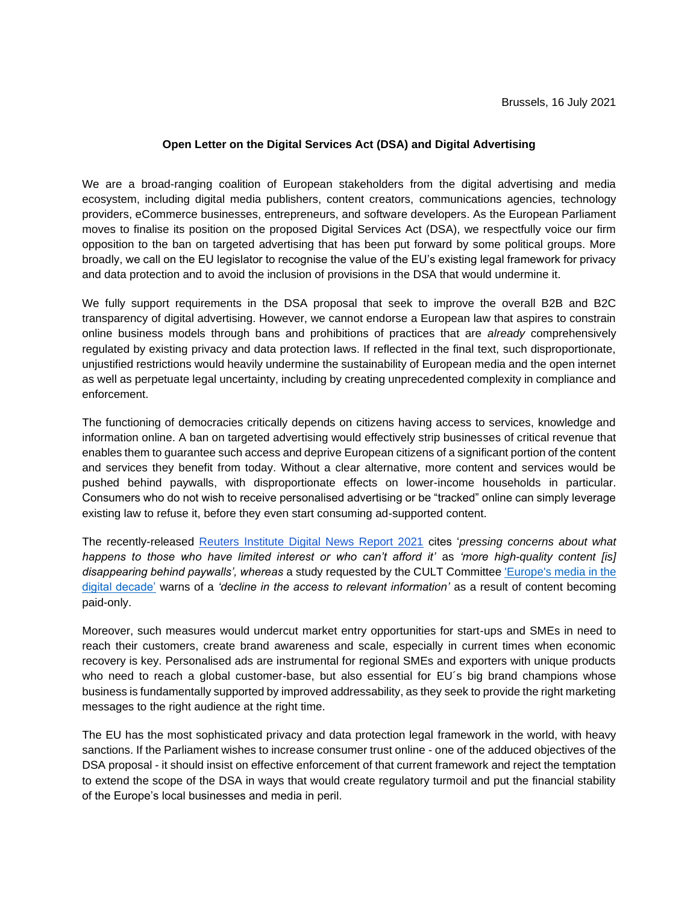## **Open Letter on the Digital Services Act (DSA) and Digital Advertising**

We are a broad-ranging coalition of European stakeholders from the digital advertising and media ecosystem, including digital media publishers, content creators, communications agencies, technology providers, eCommerce businesses, entrepreneurs, and software developers. As the European Parliament moves to finalise its position on the proposed Digital Services Act (DSA), we respectfully voice our firm opposition to the ban on targeted advertising that has been put forward by some political groups. More broadly, we call on the EU legislator to recognise the value of the EU's existing legal framework for privacy and data protection and to avoid the inclusion of provisions in the DSA that would undermine it.

We fully support requirements in the DSA proposal that seek to improve the overall B2B and B2C transparency of digital advertising. However, we cannot endorse a European law that aspires to constrain online business models through bans and prohibitions of practices that are *already* comprehensively regulated by existing privacy and data protection laws. If reflected in the final text, such disproportionate, unjustified restrictions would heavily undermine the sustainability of European media and the open internet as well as perpetuate legal uncertainty, including by creating unprecedented complexity in compliance and enforcement.

The functioning of democracies critically depends on citizens having access to services, knowledge and information online. A ban on targeted advertising would effectively strip businesses of critical revenue that enables them to guarantee such access and deprive European citizens of a significant portion of the content and services they benefit from today. Without a clear alternative, more content and services would be pushed behind paywalls, with disproportionate effects on lower-income households in particular. Consumers who do not wish to receive personalised advertising or be "tracked" online can simply leverage existing law to refuse it, before they even start consuming ad-supported content.

The recently-released [Reuters Institute Digital News Report 2021](https://reutersinstitute.politics.ox.ac.uk/sites/default/files/2021-06/Digital_News_Report_2021_FINAL.pdf) cites '*pressing concerns about what happens to those who have limited interest or who can't afford it'* as *'more high-quality content [is] disappearing behind paywalls', whereas* a study requested by the CULT Committe[e](https://www.europarl.europa.eu/RegData/etudes/STUD/2021/690873/IPOL_STU(2021)690873_EN.pdf) ['Europe's media in the](https://www.europarl.europa.eu/RegData/etudes/STUD/2021/690873/IPOL_STU(2021)690873_EN.pdf)  [digital decade'](https://www.europarl.europa.eu/RegData/etudes/STUD/2021/690873/IPOL_STU(2021)690873_EN.pdf) warns of a *'decline in the access to relevant information'* as a result of content becoming paid-only.

Moreover, such measures would undercut market entry opportunities for start-ups and SMEs in need to reach their customers, create brand awareness and scale, especially in current times when economic recovery is key. Personalised ads are instrumental for regional SMEs and exporters with unique products who need to reach a global customer-base, but also essential for EU's big brand champions whose business is fundamentally supported by improved addressability, as they seek to provide the right marketing messages to the right audience at the right time.

The EU has the most sophisticated privacy and data protection legal framework in the world, with heavy sanctions. If the Parliament wishes to increase consumer trust online - one of the adduced objectives of the DSA proposal - it should insist on effective enforcement of that current framework and reject the temptation to extend the scope of the DSA in ways that would create regulatory turmoil and put the financial stability of the Europe's local businesses and media in peril.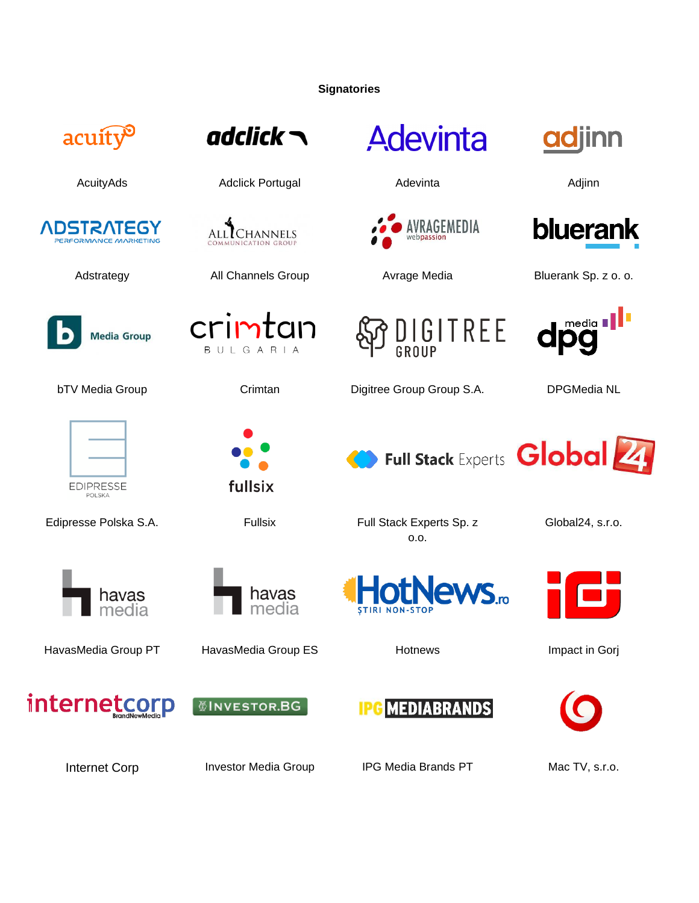**Signatories**

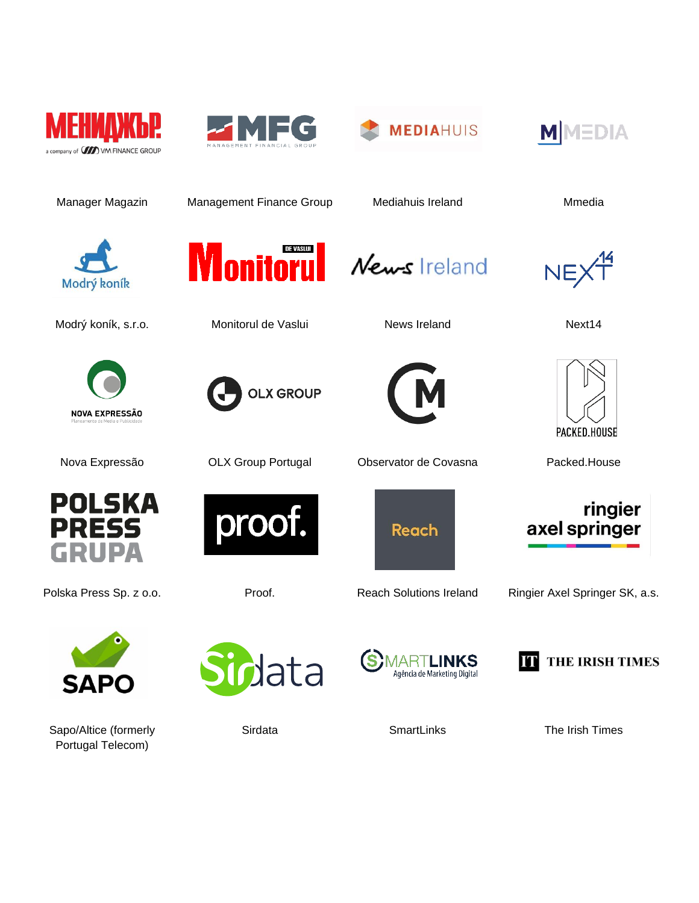







Manager Magazin Management Finance Group Mediahuis Ireland Managazin Munedia



Modrý koník, s.r.o. **Monitorul de Vaslui** News Ireland Next14







NEX<sup>14</sup>



axel springer

ringier





Polska Press Sp. z o.o. **Proof.** Proof. Reach Solutions Ireland Ringier Axel Springer SK, a.s.



Sapo/Altice (formerly Portugal Telecom)







Sirdata SmartLinks The Irish Times

Nova Expressão OLX Group Portugal Observator de Covasna Packed.House